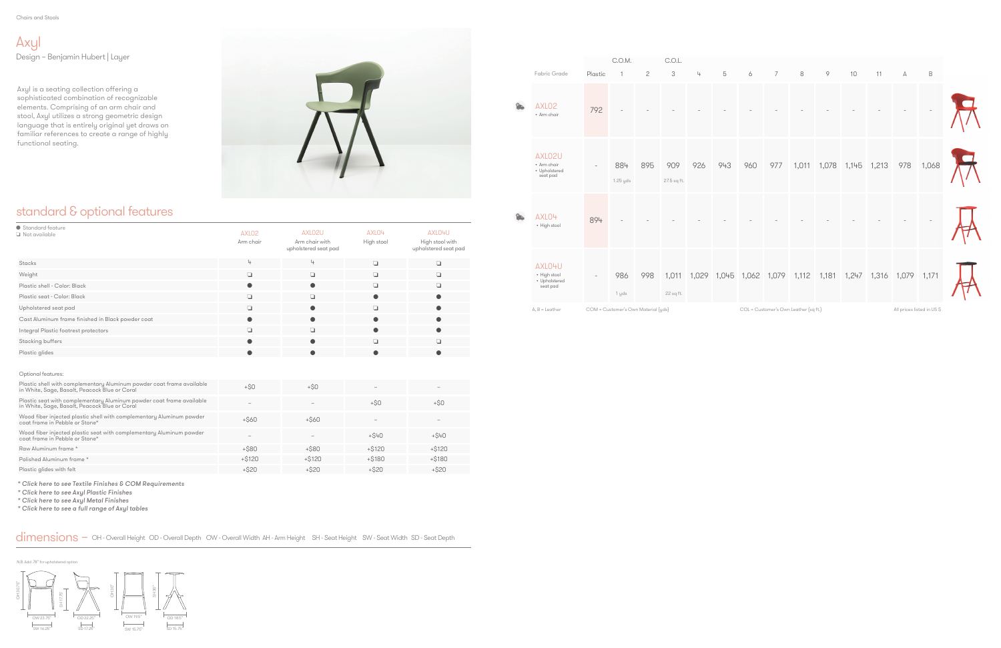Chairs and Stools

## standard & optional features

Axyl is a seating collection offering a sophisticated combination of recognizable elements. Comprising of an arm chair and stool, Axyl utilizes a strong geometric design language that is entirely original yet draws on familiar references to create a range of highly functional seating.



Axyl Design – Benjamin Hubert | Layer

| ● Standard feature<br>$\Box$ Not available                                                                             | AXLO <sub>2</sub><br>Arm chair | AXLO2U<br>Arm chair with<br>upholstered seat pad | AXLO4<br>High stool | AXLO4U<br>High stool with<br>upholstered seat pad |
|------------------------------------------------------------------------------------------------------------------------|--------------------------------|--------------------------------------------------|---------------------|---------------------------------------------------|
| Stacks                                                                                                                 | 4                              | 4                                                | $\Box$              | $\Box$                                            |
| Weight                                                                                                                 | ❏                              | Q                                                | $\Box$              | $\Box$                                            |
| Plastic shell - Color: Black                                                                                           | $\bullet$                      | $\bullet$                                        | ❏                   | $\Box$                                            |
| Plastic seat - Color: Black                                                                                            | $\Box$                         | $\Box$                                           | $\bullet$           | $\bullet$                                         |
| Upholstered seat pad                                                                                                   | ❏                              | $\bullet$                                        | ❏                   | $\bullet$                                         |
| Cast Aluminum frame finished in Black powder coat                                                                      | $\bullet$                      | $\bullet$                                        |                     | $\bullet$                                         |
| Integral Plastic footrest protectors                                                                                   | $\Box$                         | $\Box$                                           | $\bullet$           | $\bullet$                                         |
| Stacking buffers                                                                                                       | $\bullet$                      | $\bullet$                                        | ❏                   | $\Box$                                            |
| Plastic glides                                                                                                         | $\bullet$                      |                                                  |                     | $\bullet$                                         |
|                                                                                                                        |                                |                                                  |                     |                                                   |
| Optional features:                                                                                                     |                                |                                                  |                     |                                                   |
| Plastic shell with complementary Aluminum powder coat frame available<br>in White, Sage, Basalt, Peacock Blue or Coral | $+SO$                          | $+50$                                            |                     |                                                   |
| Plastic seat with complementary Aluminum powder coat frame available<br>in White, Sage, Basalt, Peacock Blue or Coral  | $\overline{\phantom{0}}$       |                                                  | $+ $0$              | $+SO$                                             |
| Wood fiber injected plastic shell with complementary Aluminum powder<br>coat frame in Pebble or Stone*                 | $+$ \$60                       | $+ $60$                                          |                     |                                                   |
| Wood fiber injected plastic seat with complementary Aluminum powder<br>coat frame in Pebble or Stone*                  |                                |                                                  | $+ $40$             | $+ $40$                                           |
| Raw Aluminum frame *                                                                                                   | $+$ \$80                       | $+$ \$80                                         | $+ $120$            | $+ $120$                                          |
| Polished Aluminum frame *                                                                                              | $+ $120$                       | $+ $120$                                         | $+ $180$            | $+ $180$                                          |
| Plastic glides with felt                                                                                               | $+ $20$                        | $+ $20$                                          | $+ $20$             | $+ $20$                                           |

N.B. Add .78" for up



|                |                                                     |                          | C.O.M.                              |              | C.O.L.             |     |     |                                     |                |                                       |       |             |             |                           |        |
|----------------|-----------------------------------------------------|--------------------------|-------------------------------------|--------------|--------------------|-----|-----|-------------------------------------|----------------|---------------------------------------|-------|-------------|-------------|---------------------------|--------|
|                | Fabric Grade                                        | Plastic                  | 1                                   | $\mathbf{2}$ | 3                  | 4   | 5   | 6                                   | $\overline{7}$ | 8                                     | 9     | 10          | 11          | А                         | $\,$ B |
| $\circledcirc$ | AXLO <sub>2</sub><br>• Arm chair                    | 792                      |                                     |              |                    |     |     |                                     |                |                                       |       |             |             |                           |        |
|                | AXLO2U<br>• Arm chair<br>• Upholstered<br>seat pad  | $\overline{\phantom{a}}$ | 884<br>1.25 yds                     | 895          | 909<br>27.5 sq ft. | 926 | 943 | 960                                 | 977            | 1,011                                 | 1,078 | 1,145 1,213 |             | 978                       | 1,068  |
| $^{\circ}$     | AXLO4<br>• High stool                               | 894                      |                                     |              |                    |     |     |                                     |                |                                       |       |             |             |                           |        |
|                | AXLO4U<br>• High stool<br>• Upholstered<br>seat pad | $\overline{\phantom{a}}$ | 986<br>1 yds                        | 998          | 1,011<br>22 sq ft. |     |     | 1,029 1,045 1,062 1,079 1,112 1,181 |                |                                       |       | 1,247       | 1,316 1,079 |                           | 1,171  |
|                | $A, B =$ Leather                                    |                          | COM = Customer's Own Material (yds) |              |                    |     |     |                                     |                | COL = Customer's Own Leather (sq ft.) |       |             |             | All prices listed in US\$ |        |

[\\* Click here to see Textile Finishes & COM Require](#page-2-0)ments

[\\* Click here to see Axyl Plastic Finishes](#page-1-0)

[\\* Click here to see Axyl Metal Finishes](#page-1-0)

[\\* Click here to see a full range of Axyl tables](https://www.allermuir.com/us/products/tables-storage/axyl-tables)

#### dimensions – OH - Overall Height OD - Overall Depth OW - Overall Width AH - Arm Height SH - Seat Height SW - Seat Width SD - Seat Depth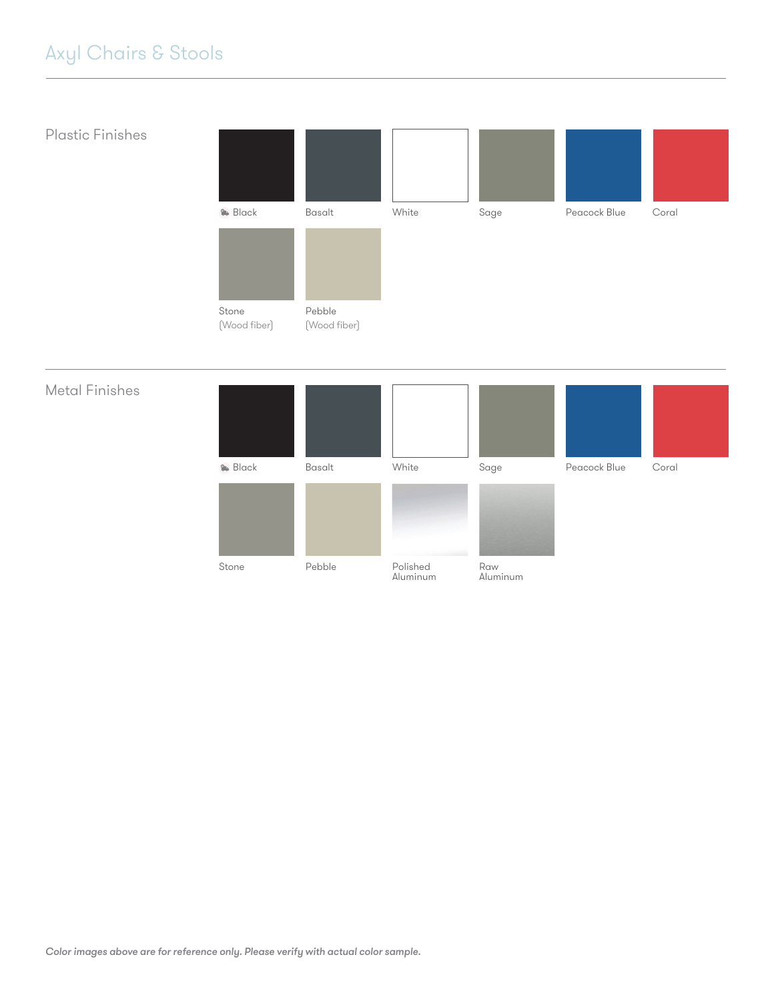# <span id="page-1-0"></span>Axyl Chairs & Stools

### Plastic Finishes



#### Metal Finishes

| <b>&amp;</b> Black | Basalt | White                | Sage            | Peacock Blue | Coral |
|--------------------|--------|----------------------|-----------------|--------------|-------|
|                    |        |                      |                 |              |       |
| Stone              | Pebble | Polished<br>Aluminum | Raw<br>Aluminum |              |       |